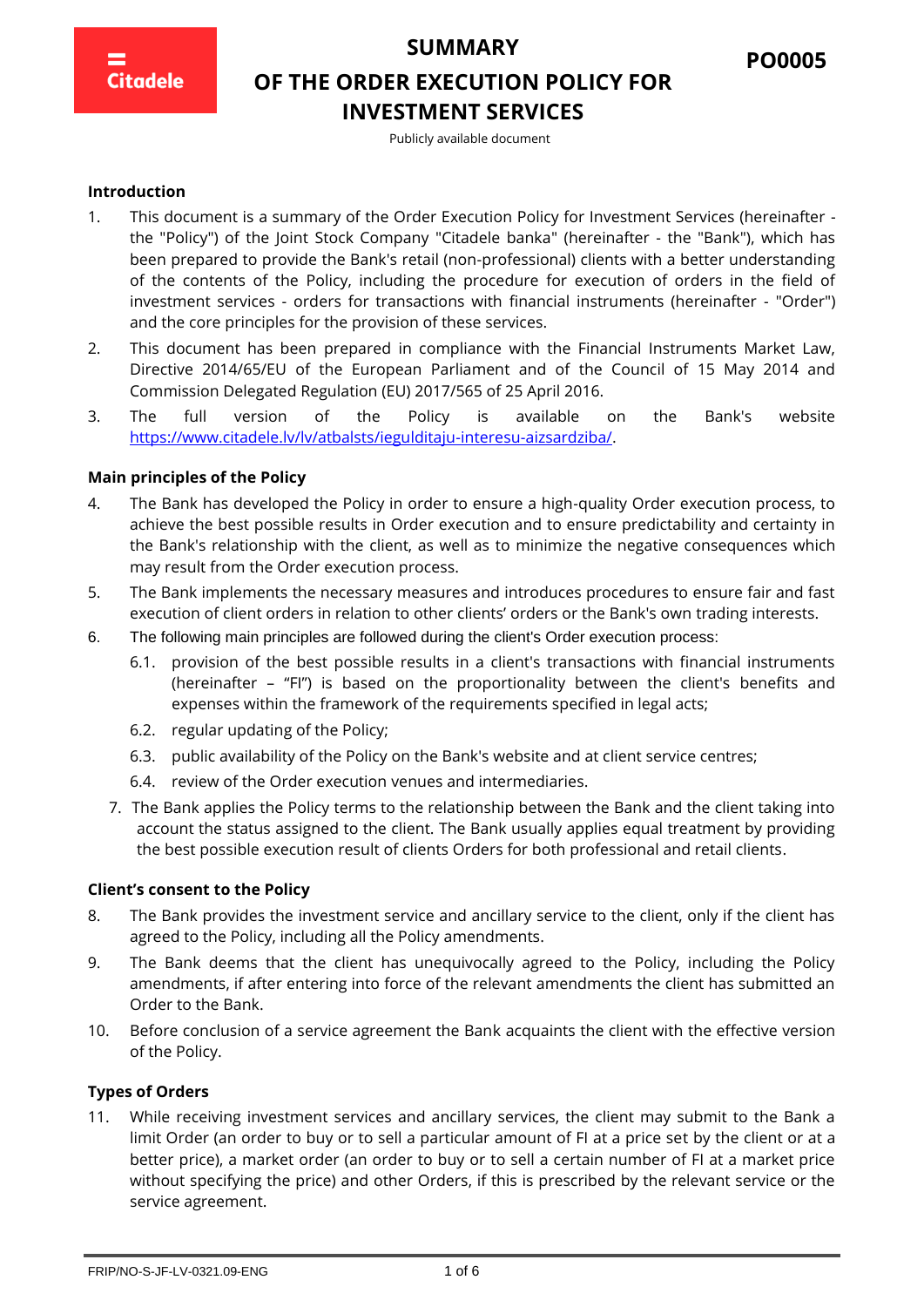

## **OF THE ORDER EXECUTION POLICY FOR INVESTMENT SERVICES**

Publicly available document

#### **Introduction**

- 1. This document is a summary of the Order Execution Policy for Investment Services (hereinafter the "Policy") of the Joint Stock Company "Citadele banka" (hereinafter - the "Bank"), which has been prepared to provide the Bank's retail (non-professional) clients with a better understanding of the contents of the Policy, including the procedure for execution of orders in the field of investment services - orders for transactions with financial instruments (hereinafter - "Order") and the core principles for the provision of these services.
- 2. This document has been prepared in compliance with the Financial Instruments Market Law, Directive 2014/65/EU of the European Parliament and of the Council of 15 May 2014 and Commission Delegated Regulation (EU) 2017/565 of 25 April 2016.
- 3. The full version of the Policy is available on the Bank's website [https://www.citadele.lv/lv/atbalsts/iegulditaju-interesu-aizsardziba/.](https://www.citadele.lv/lv/atbalsts/iegulditaju-interesu-aizsardziba/)

#### **Main principles of the Policy**

- 4. The Bank has developed the Policy in order to ensure a high-quality Order execution process, to achieve the best possible results in Order execution and to ensure predictability and certainty in the Bank's relationship with the client, as well as to minimize the negative consequences which may result from the Order execution process.
- 5. The Bank implements the necessary measures and introduces procedures to ensure fair and fast execution of client orders in relation to other clients' orders or the Bank's own trading interests.
- 6. The following main principles are followed during the client's Order execution process:
	- 6.1. provision of the best possible results in a client's transactions with financial instruments (hereinafter – "FI") is based on the proportionality between the client's benefits and expenses within the framework of the requirements specified in legal acts;
	- 6.2. regular updating of the Policy;
	- 6.3. public availability of the Policy on the Bank's website and at client service centres;
	- 6.4. review of the Order execution venues and intermediaries.
	- 7. The Bank applies the Policy terms to the relationship between the Bank and the client taking into account the status assigned to the client. The Bank usually applies equal treatment by providing the best possible execution result of clients Orders for both professional and retail clients.

#### **Client's consent to the Policy**

- 8. The Bank provides the investment service and ancillary service to the client, only if the client has agreed to the Policy, including all the Policy amendments.
- 9. The Bank deems that the client has unequivocally agreed to the Policy, including the Policy amendments, if after entering into force of the relevant amendments the client has submitted an Order to the Bank.
- 10. Before conclusion of a service agreement the Bank acquaints the client with the effective version of the Policy.

#### **Types of Orders**

11. While receiving investment services and ancillary services, the client may submit to the Bank a limit Order (an order to buy or to sell a particular amount of FI at a price set by the client or at a better price), a market order (an order to buy or to sell a certain number of FI at a market price without specifying the price) and other Orders, if this is prescribed by the relevant service or the service agreement.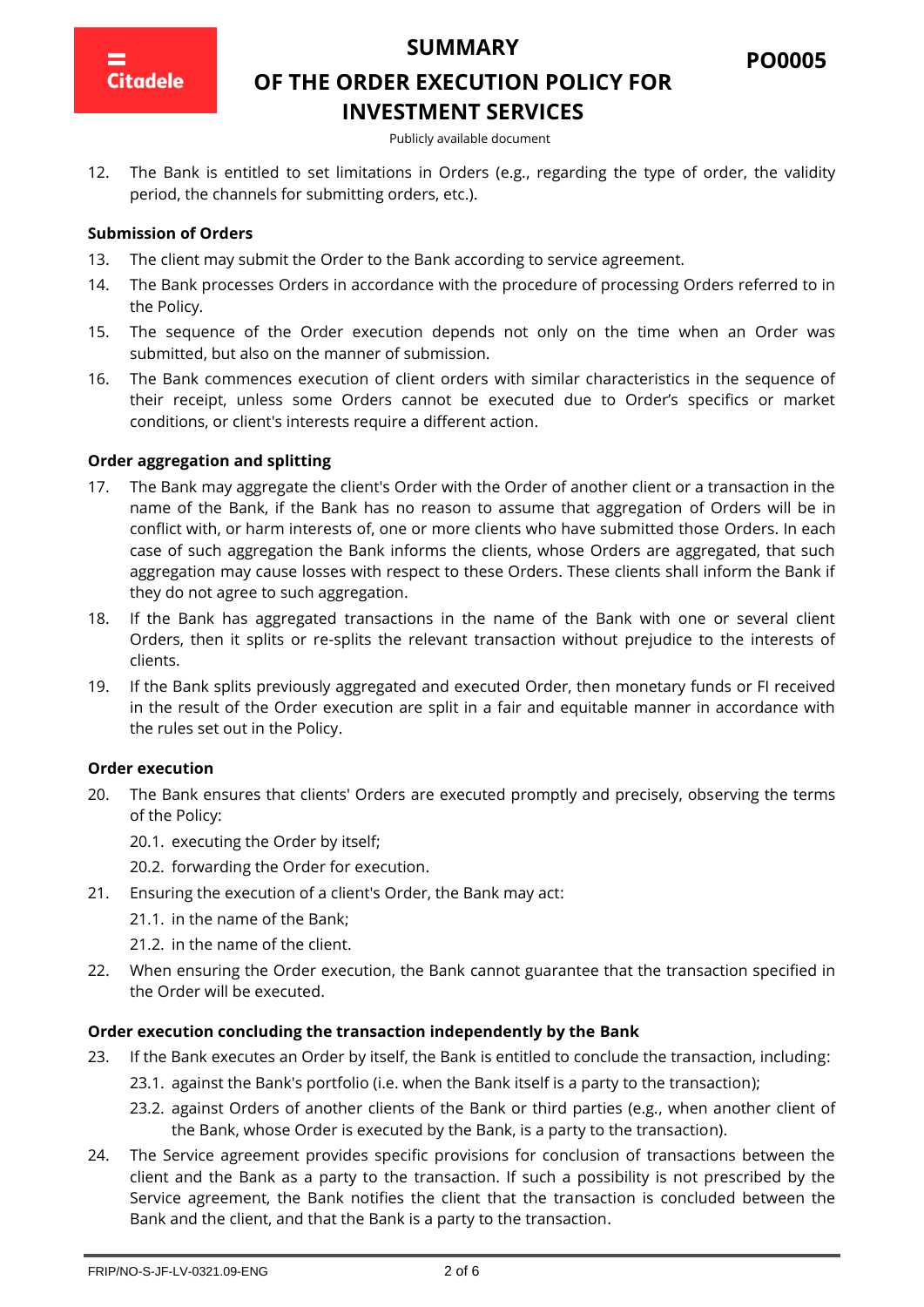

**PO0005**

# **OF THE ORDER EXECUTION POLICY FOR INVESTMENT SERVICES**

Publicly available document

12. The Bank is entitled to set limitations in Orders (e.g., regarding the type of order, the validity period, the channels for submitting orders, etc.).

#### **Submission of Orders**

- 13. The client may submit the Order to the Bank according to service agreement.
- 14. The Bank processes Orders in accordance with the procedure of processing Orders referred to in the Policy.
- 15. The sequence of the Order execution depends not only on the time when an Order was submitted, but also on the manner of submission.
- 16. The Bank commences execution of client orders with similar characteristics in the sequence of their receipt, unless some Orders cannot be executed due to Order's specifics or market conditions, or client's interests require a different action.

#### **Order aggregation and splitting**

- 17. The Bank may aggregate the client's Order with the Order of another client or a transaction in the name of the Bank, if the Bank has no reason to assume that aggregation of Orders will be in conflict with, or harm interests of, one or more clients who have submitted those Orders. In each case of such aggregation the Bank informs the clients, whose Orders are aggregated, that such aggregation may cause losses with respect to these Orders. These clients shall inform the Bank if they do not agree to such aggregation.
- 18. If the Bank has aggregated transactions in the name of the Bank with one or several client Orders, then it splits or re-splits the relevant transaction without prejudice to the interests of clients.
- 19. If the Bank splits previously aggregated and executed Order, then monetary funds or FI received in the result of the Order execution are split in a fair and equitable manner in accordance with the rules set out in the Policy.

#### **Order execution**

- 20. The Bank ensures that clients' Orders are executed promptly and precisely, observing the terms of the Policy:
	- 20.1. executing the Order by itself;
	- 20.2. forwarding the Order for execution.
- 21. Ensuring the execution of a client's Order, the Bank may act:
	- 21.1. in the name of the Bank;
	- 21.2. in the name of the client.
- 22. When ensuring the Order execution, the Bank cannot guarantee that the transaction specified in the Order will be executed.

#### **Order execution concluding the transaction independently by the Bank**

- 23. If the Bank executes an Order by itself, the Bank is entitled to conclude the transaction, including:
	- 23.1. against the Bank's portfolio (i.e. when the Bank itself is a party to the transaction);
	- 23.2. against Orders of another clients of the Bank or third parties (e.g., when another client of the Bank, whose Order is executed by the Bank, is a party to the transaction).
- 24. The Service agreement provides specific provisions for conclusion of transactions between the client and the Bank as a party to the transaction. If such a possibility is not prescribed by the Service agreement, the Bank notifies the client that the transaction is concluded between the Bank and the client, and that the Bank is a party to the transaction.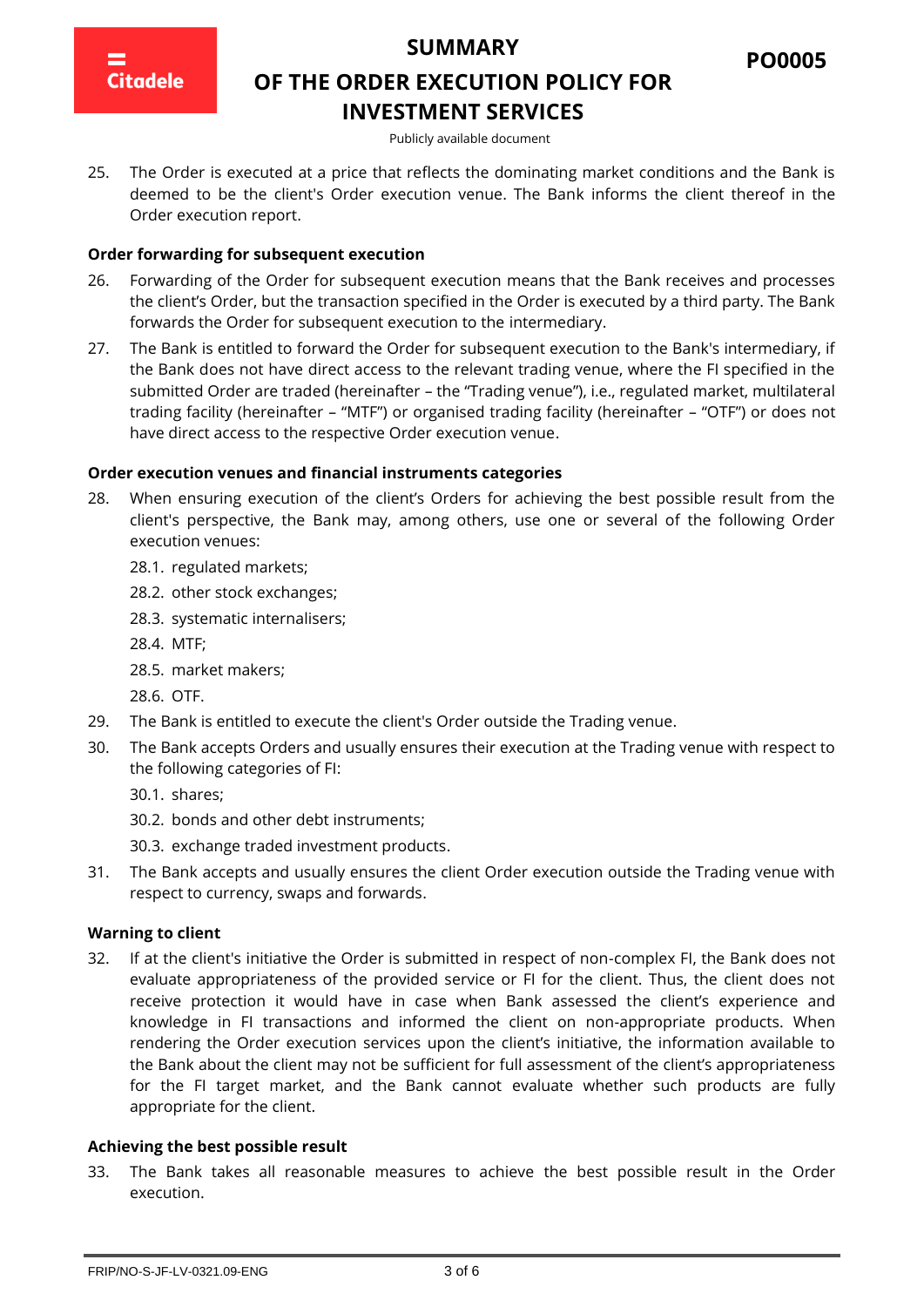

# **OF THE ORDER EXECUTION POLICY FOR INVESTMENT SERVICES**

Publicly available document

25. The Order is executed at a price that reflects the dominating market conditions and the Bank is deemed to be the client's Order execution venue. The Bank informs the client thereof in the Order execution report.

#### **Order forwarding for subsequent execution**

- 26. Forwarding of the Order for subsequent execution means that the Bank receives and processes the client's Order, but the transaction specified in the Order is executed by a third party. The Bank forwards the Order for subsequent execution to the intermediary.
- 27. The Bank is entitled to forward the Order for subsequent execution to the Bank's intermediary, if the Bank does not have direct access to the relevant trading venue, where the FI specified in the submitted Order are traded (hereinafter – the "Trading venue"), i.e., regulated market, multilateral trading facility (hereinafter – "MTF") or organised trading facility (hereinafter – "OTF") or does not have direct access to the respective Order execution venue.

#### **Order execution venues and financial instruments categories**

- 28. When ensuring execution of the client's Orders for achieving the best possible result from the client's perspective, the Bank may, among others, use one or several of the following Order execution venues:
	- 28.1. regulated markets;
	- 28.2. other stock exchanges;
	- 28.3. systematic internalisers;
	- 28.4. MTF;
	- 28.5. market makers;
	- 28.6. OTF.
- 29. The Bank is entitled to execute the client's Order outside the Trading venue.
- 30. The Bank accepts Orders and usually ensures their execution at the Trading venue with respect to the following categories of FI:
	- 30.1. shares;
	- 30.2. bonds and other debt instruments;
	- 30.3. exchange traded investment products.
- 31. The Bank accepts and usually ensures the client Order execution outside the Trading venue with respect to currency, swaps and forwards.

#### **Warning to client**

32. If at the client's initiative the Order is submitted in respect of non-complex FI, the Bank does not evaluate appropriateness of the provided service or FI for the client. Thus, the client does not receive protection it would have in case when Bank assessed the client's experience and knowledge in FI transactions and informed the client on non-appropriate products. When rendering the Order execution services upon the client's initiative, the information available to the Bank about the client may not be sufficient for full assessment of the client's appropriateness for the FI target market, and the Bank cannot evaluate whether such products are fully appropriate for the client.

#### **Achieving the best possible result**

33. The Bank takes all reasonable measures to achieve the best possible result in the Order execution.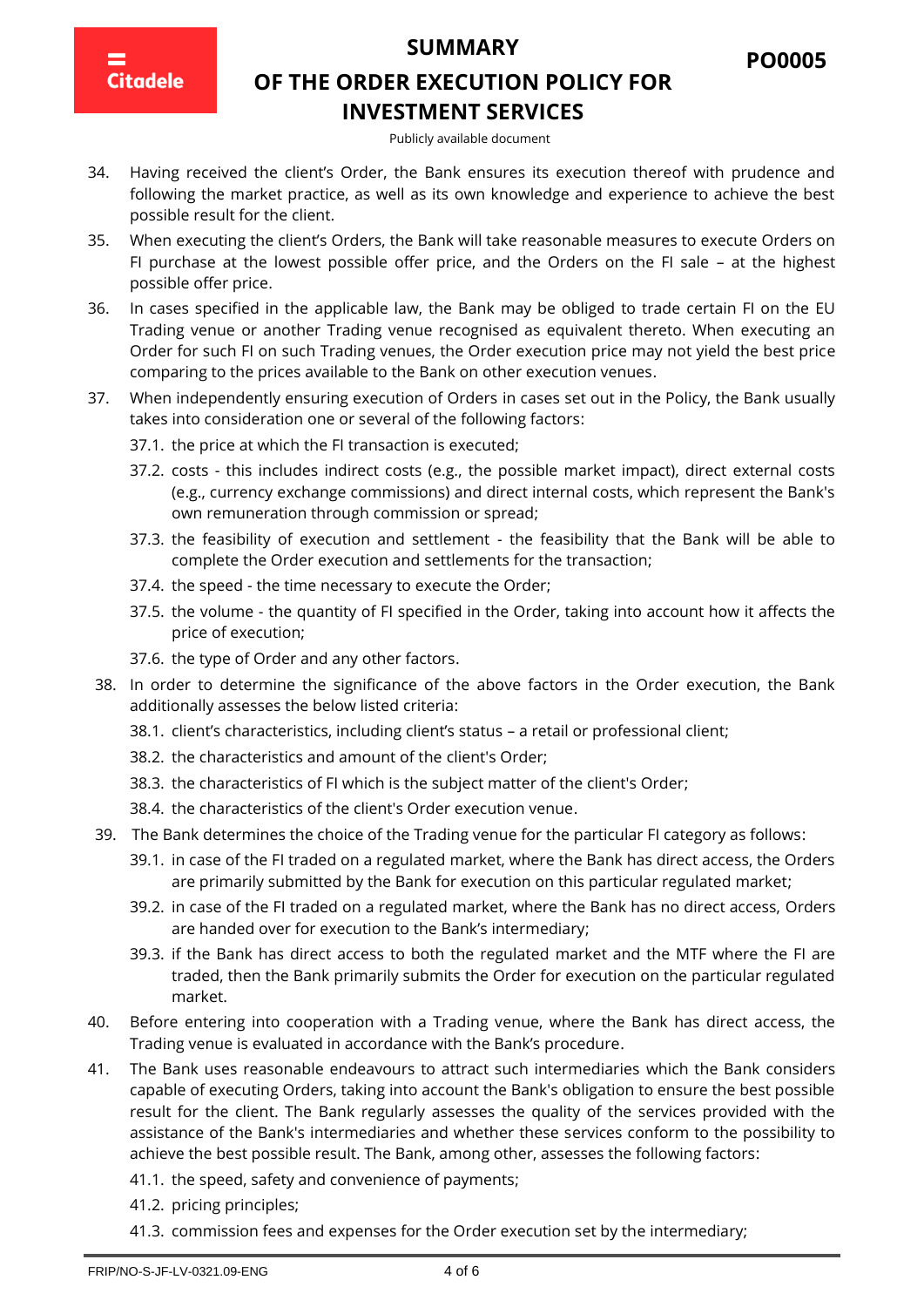**Citadele** 

# **OF THE ORDER EXECUTION POLICY FOR INVESTMENT SERVICES**

**PO0005**

#### Publicly available document

- 34. Having received the client's Order, the Bank ensures its execution thereof with prudence and following the market practice, as well as its own knowledge and experience to achieve the best possible result for the client.
- 35. When executing the client's Orders, the Bank will take reasonable measures to execute Orders on FI purchase at the lowest possible offer price, and the Orders on the FI sale – at the highest possible offer price.
- 36. In cases specified in the applicable law, the Bank may be obliged to trade certain FI on the EU Trading venue or another Trading venue recognised as equivalent thereto. When executing an Order for such FI on such Trading venues, the Order execution price may not yield the best price comparing to the prices available to the Bank on other execution venues.
- 37. When independently ensuring execution of Orders in cases set out in the Policy, the Bank usually takes into consideration one or several of the following factors:
	- 37.1. the price at which the FI transaction is executed;
	- 37.2. costs this includes indirect costs (e.g., the possible market impact), direct external costs (e.g., currency exchange commissions) and direct internal costs, which represent the Bank's own remuneration through commission or spread;
	- 37.3. the feasibility of execution and settlement the feasibility that the Bank will be able to complete the Order execution and settlements for the transaction;
	- 37.4. the speed the time necessary to execute the Order;
	- 37.5. the volume the quantity of FI specified in the Order, taking into account how it affects the price of execution;
	- 37.6. the type of Order and any other factors.
- 38. In order to determine the significance of the above factors in the Order execution, the Bank additionally assesses the below listed criteria:
	- 38.1. client's characteristics, including client's status a retail or professional client;
	- 38.2. the characteristics and amount of the client's Order;
	- 38.3. the characteristics of FI which is the subject matter of the client's Order;
	- 38.4. the characteristics of the client's Order execution venue.
- 39. The Bank determines the choice of the Trading venue for the particular FI category as follows:
	- 39.1. in case of the FI traded on a regulated market, where the Bank has direct access, the Orders are primarily submitted by the Bank for execution on this particular regulated market;
	- 39.2. in case of the FI traded on a regulated market, where the Bank has no direct access, Orders are handed over for execution to the Bank's intermediary;
	- 39.3. if the Bank has direct access to both the regulated market and the MTF where the FI are traded, then the Bank primarily submits the Order for execution on the particular regulated market.
- 40. Before entering into cooperation with a Trading venue, where the Bank has direct access, the Trading venue is evaluated in accordance with the Bank's procedure.
- 41. The Bank uses reasonable endeavours to attract such intermediaries which the Bank considers capable of executing Orders, taking into account the Bank's obligation to ensure the best possible result for the client. The Bank regularly assesses the quality of the services provided with the assistance of the Bank's intermediaries and whether these services conform to the possibility to achieve the best possible result. The Bank, among other, assesses the following factors:
	- 41.1. the speed, safety and convenience of payments;
	- 41.2. pricing principles;
	- 41.3. commission fees and expenses for the Order execution set by the intermediary;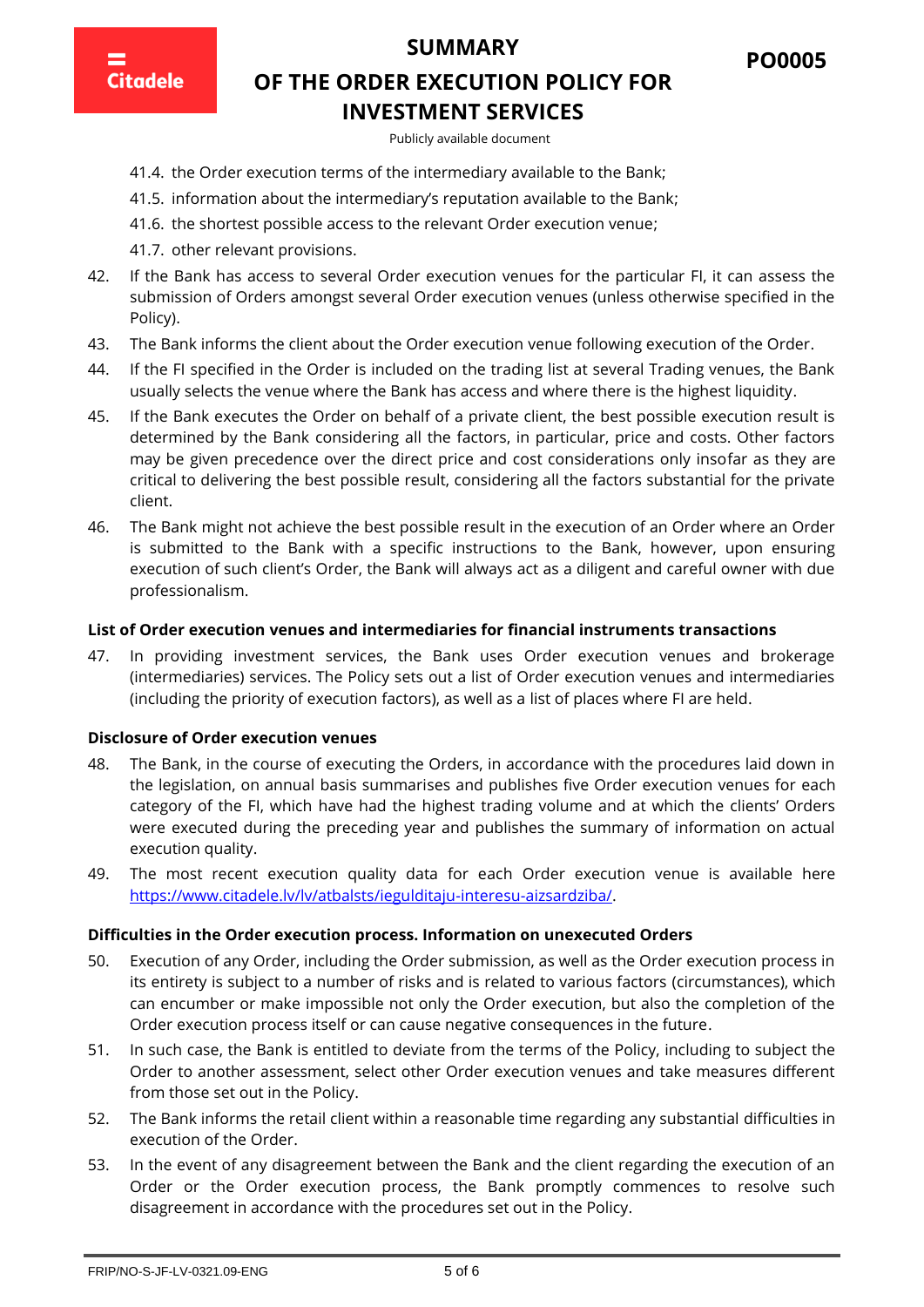**PO0005**

**Citadele** 

# **OF THE ORDER EXECUTION POLICY FOR INVESTMENT SERVICES**

Publicly available document

- 41.4. the Order execution terms of the intermediary available to the Bank;
- 41.5. information about the intermediary's reputation available to the Bank;
- 41.6. the shortest possible access to the relevant Order execution venue;
- 41.7. other relevant provisions.
- 42. If the Bank has access to several Order execution venues for the particular FI, it can assess the submission of Orders amongst several Order execution venues (unless otherwise specified in the Policy).
- 43. The Bank informs the client about the Order execution venue following execution of the Order.
- 44. If the FI specified in the Order is included on the trading list at several Trading venues, the Bank usually selects the venue where the Bank has access and where there is the highest liquidity.
- 45. If the Bank executes the Order on behalf of a private client, the best possible execution result is determined by the Bank considering all the factors, in particular, price and costs. Other factors may be given precedence over the direct price and cost considerations only insofar as they are critical to delivering the best possible result, considering all the factors substantial for the private client.
- 46. The Bank might not achieve the best possible result in the execution of an Order where an Order is submitted to the Bank with a specific instructions to the Bank, however, upon ensuring execution of such client's Order, the Bank will always act as a diligent and careful owner with due professionalism.

#### **List of Order execution venues and intermediaries for financial instruments transactions**

47. In providing investment services, the Bank uses Order execution venues and brokerage (intermediaries) services. The Policy sets out a list of Order execution venues and intermediaries (including the priority of execution factors), as well as a list of places where FI are held.

#### **Disclosure of Order execution venues**

- 48. The Bank, in the course of executing the Orders, in accordance with the procedures laid down in the legislation, on annual basis summarises and publishes five Order execution venues for each category of the FI, which have had the highest trading volume and at which the clients' Orders were executed during the preceding year and publishes the summary of information on actual execution quality.
- 49. The most recent execution quality data for each Order execution venue is available here [https://www.citadele.lv/lv/atbalsts/iegulditaju-interesu-aizsardziba/.](https://www.citadele.lv/lv/atbalsts/iegulditaju-interesu-aizsardziba/)

#### **Difficulties in the Order execution process. Information on unexecuted Orders**

- 50. Execution of any Order, including the Order submission, as well as the Order execution process in its entirety is subject to a number of risks and is related to various factors (circumstances), which can encumber or make impossible not only the Order execution, but also the completion of the Order execution process itself or can cause negative consequences in the future.
- 51. In such case, the Bank is entitled to deviate from the terms of the Policy, including to subject the Order to another assessment, select other Order execution venues and take measures different from those set out in the Policy.
- 52. The Bank informs the retail client within a reasonable time regarding any substantial difficulties in execution of the Order.
- 53. In the event of any disagreement between the Bank and the client regarding the execution of an Order or the Order execution process, the Bank promptly commences to resolve such disagreement in accordance with the procedures set out in the Policy.